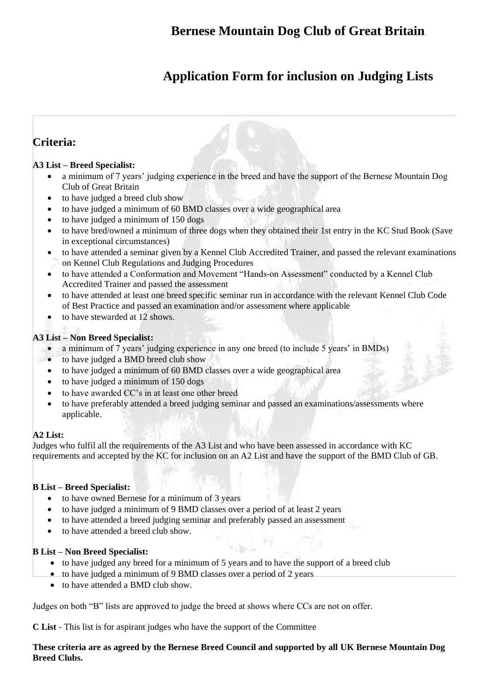### **Bernese Mountain Dog Club of Great Britain**

# **Application Form for inclusion on Judging Lists**

### **Criteria:**

#### **A3 List – Breed Specialist:**

- a minimum of 7 years' judging experience in the breed and have the support of the Bernese Mountain Dog Club of Great Britain
- to have judged a breed club show
- to have judged a minimum of 60 BMD classes over a wide geographical area
- to have judged a minimum of 150 dogs
- to have bred/owned a minimum of three dogs when they obtained their 1st entry in the KC Stud Book (Save in exceptional circumstances)
- to have attended a seminar given by a Kennel Club Accredited Trainer, and passed the relevant examinations on Kennel Club Regulations and Judging Procedures
- to have attended a Conformation and Movement "Hands-on Assessment" conducted by a Kennel Club Accredited Trainer and passed the assessment
- to have attended at least one breed specific seminar run in accordance with the relevant Kennel Club Code of Best Practice and passed an examination and/or assessment where applicable
- to have stewarded at 12 shows.

#### **A3 List – Non Breed Specialist:**

- a minimum of 7 years' judging experience in any one breed (to include 5 years' in BMDs)
- to have judged a BMD breed club show
- to have judged a minimum of 60 BMD classes over a wide geographical area
- to have judged a minimum of 150 dogs
- to have awarded CC's in at least one other breed
- to have preferably attended a breed judging seminar and passed an examinations/assessments where applicable.

#### **A2 List:**

Judges who fulfil all the requirements of the A3 List and who have been assessed in accordance with KC requirements and accepted by the KC for inclusion on an A2 List and have the support of the BMD Club of GB.

#### **B List – Breed Specialist:**

- to have owned Bernese for a minimum of 3 years
- to have judged a minimum of 9 BMD classes over a period of at least 2 years
- to have attended a breed judging seminar and preferably passed an assessment
- to have attended a breed club show.

#### **B List – Non Breed Specialist:**

- to have judged any breed for a minimum of 5 years and to have the support of a breed club
- to have judged a minimum of 9 BMD classes over a period of 2 years
- to have attended a BMD club show.

Judges on both "B" lists are approved to judge the breed at shows where CCs are not on offer.

**C List** - This list is for aspirant judges who have the support of the Committee

#### **These criteria are as agreed by the Bernese Breed Council and supported by all UK Bernese Mountain Dog Breed Clubs.**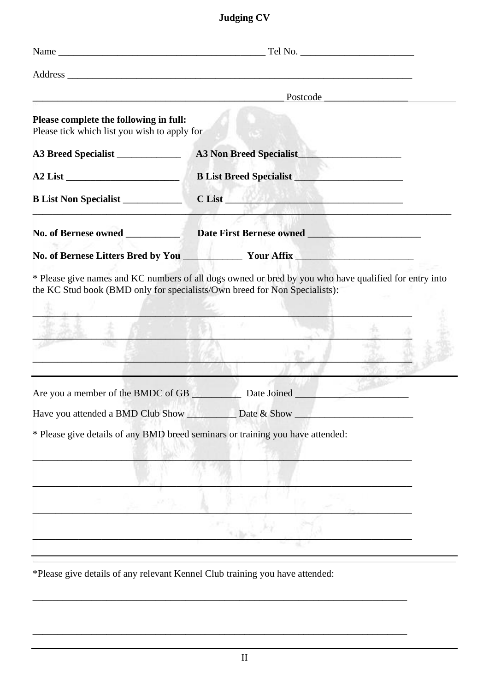# **Judging CV**

| Please complete the following in full:<br>Please tick which list you wish to apply for |                                                            |  |  |  |  |  |  |
|----------------------------------------------------------------------------------------|------------------------------------------------------------|--|--|--|--|--|--|
| A3 Breed Specialist                                                                    | A3 Non Breed Specialist                                    |  |  |  |  |  |  |
|                                                                                        |                                                            |  |  |  |  |  |  |
| B List Non Specialist                                                                  | $C$ List                                                   |  |  |  |  |  |  |
| No. of Bernese owned                                                                   |                                                            |  |  |  |  |  |  |
|                                                                                        |                                                            |  |  |  |  |  |  |
| <u> 1989 - John Stone Barbara (f. 1989)</u>                                            |                                                            |  |  |  |  |  |  |
|                                                                                        | Are you a member of the BMDC of GB Date Joined Date Joined |  |  |  |  |  |  |
|                                                                                        | General Control Control Control                            |  |  |  |  |  |  |
| * Please give details of any BMD breed seminars or training you have attended:         |                                                            |  |  |  |  |  |  |
|                                                                                        |                                                            |  |  |  |  |  |  |
|                                                                                        |                                                            |  |  |  |  |  |  |
|                                                                                        |                                                            |  |  |  |  |  |  |

\*Please give details of any relevant Kennel Club training you have attended:

\_\_\_\_\_\_\_\_\_\_\_\_\_\_\_\_\_\_\_\_\_\_\_\_\_\_\_\_\_\_\_\_\_\_\_\_\_\_\_\_\_\_\_\_\_\_\_\_\_\_\_\_\_\_\_\_\_\_\_\_\_\_\_\_\_\_\_\_\_\_\_\_\_\_\_\_

\_\_\_\_\_\_\_\_\_\_\_\_\_\_\_\_\_\_\_\_\_\_\_\_\_\_\_\_\_\_\_\_\_\_\_\_\_\_\_\_\_\_\_\_\_\_\_\_\_\_\_\_\_\_\_\_\_\_\_\_\_\_\_\_\_\_\_\_\_\_\_\_\_\_\_\_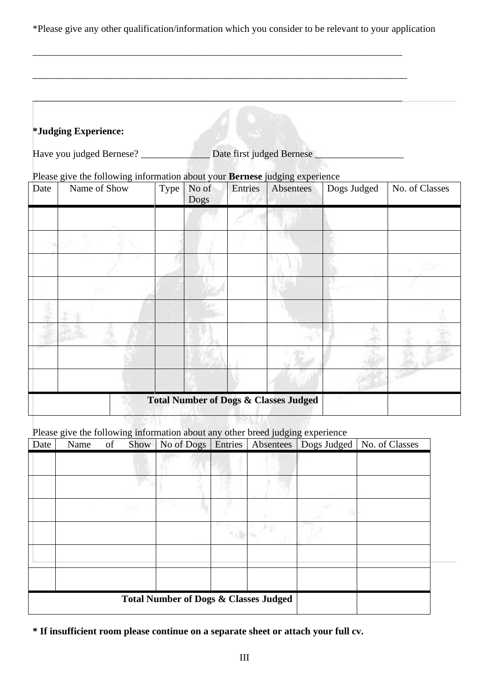\*Please give any other qualification/information which you consider to be relevant to your application

\_\_\_\_\_\_\_\_\_\_\_\_\_\_\_\_\_\_\_\_\_\_\_\_\_\_\_\_\_\_\_\_\_\_\_\_\_\_\_\_\_\_\_\_\_\_\_\_\_\_\_\_\_\_\_\_\_\_\_\_\_\_\_\_\_\_\_\_\_\_\_\_\_\_\_

\_\_\_\_\_\_\_\_\_\_\_\_\_\_\_\_\_\_\_\_\_\_\_\_\_\_\_\_\_\_\_\_\_\_\_\_\_\_\_\_\_\_\_\_\_\_\_\_\_\_\_\_\_\_\_\_\_\_\_\_\_\_\_\_\_\_\_\_\_\_\_\_\_\_\_\_

\_\_\_\_\_\_\_\_\_\_\_\_\_\_\_\_\_\_\_\_\_\_\_\_\_\_\_\_\_\_\_\_\_\_\_\_\_\_\_\_\_\_\_\_\_\_\_\_\_\_\_\_\_\_\_\_\_\_\_\_\_\_\_\_\_\_\_\_\_\_\_\_\_\_\_

### **\*Judging Experience:**

Have you judged Bernese? \_\_\_\_\_\_\_\_\_\_\_\_\_\_\_ Date first judged Bernese \_\_\_\_\_\_\_\_\_\_\_\_\_

#### Please give the following information about your **Bernese** judging experience

| Date | Name of Show | Type | No of<br>Dogs | Entries | Absentees                                        | Dogs Judged | No. of Classes |
|------|--------------|------|---------------|---------|--------------------------------------------------|-------------|----------------|
|      |              |      |               |         |                                                  |             |                |
|      |              |      |               |         |                                                  |             |                |
|      |              |      |               |         |                                                  |             |                |
|      |              |      |               |         |                                                  |             |                |
|      |              |      |               |         |                                                  |             |                |
|      |              |      |               |         |                                                  |             |                |
|      |              |      |               |         |                                                  |             |                |
|      |              |      |               |         |                                                  |             |                |
|      |              |      |               |         | <b>Total Number of Dogs &amp; Classes Judged</b> |             |                |

Please give the following information about any other breed judging experience

| Date                                             | Name | of |  | Show   No of Dogs | Entries | Absentees | Dogs Judged | No. of Classes |
|--------------------------------------------------|------|----|--|-------------------|---------|-----------|-------------|----------------|
|                                                  |      |    |  |                   |         |           |             |                |
|                                                  |      |    |  |                   |         |           |             |                |
|                                                  |      |    |  |                   |         |           |             |                |
|                                                  |      |    |  |                   |         |           |             |                |
|                                                  |      |    |  |                   |         |           |             |                |
|                                                  |      |    |  |                   |         |           |             |                |
| <b>Total Number of Dogs &amp; Classes Judged</b> |      |    |  |                   |         |           |             |                |

**<sup>\*</sup> If insufficient room please continue on a separate sheet or attach your full cv.**